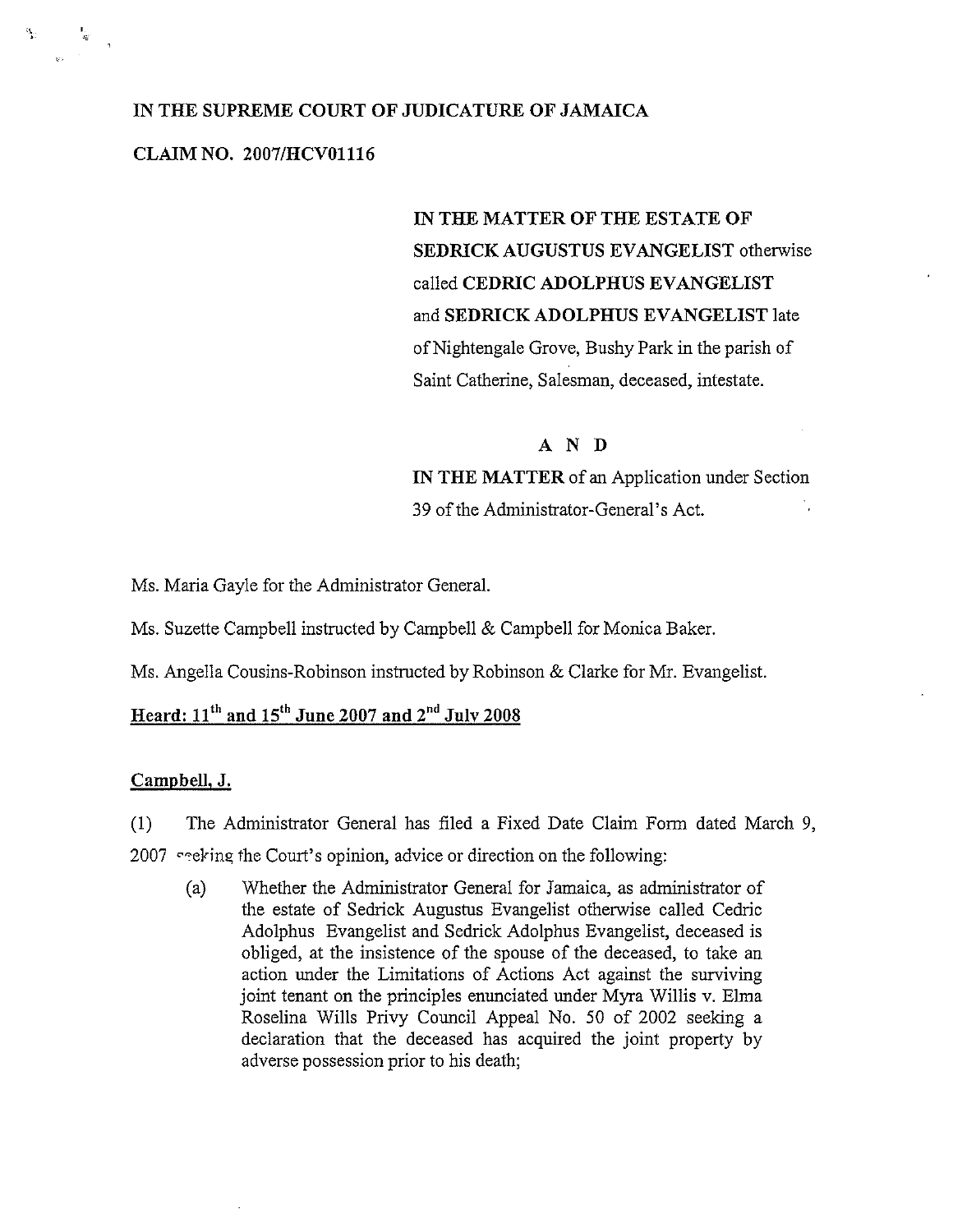## IN THE SUPREME COURT OF JUDICATURE OF JAMAICA

## CLAIM NO. 2007/HCVO1116

4

 $\mathcal{C}_{\mathbf{p},\mathbf{q}}$ 

IN THE MATTER OF THE ESTATE OF SEDRICK AUGUSTUS EVANGELIST otherwise called CEDRIC ADOLPHUS EVANGELIST and SEDRICK ADOLPHUS EVANGELIST late of Nightengale Grove, Bushy Park in the parish of Saint Catherine, Salesman, deceased, intestate.

### AND

IN THE MATTER of an Application under Section 39 of the Administrator-General's Act.

Ms. Maria Gayle for the Administrator General.

Ms. Suzette Campbell instructed by Campbell & Campbell for Monica Baker.

Ms. Angella Cousins-Robinson instructed by Robinson & Clarke for Mr. Evangelist.

# Heard:  $11<sup>th</sup>$  and  $15<sup>th</sup>$  June 2007 and  $2<sup>nd</sup>$  July 2008

#### CampbelJ, J.

(1) The Administrator General has filed a Fixed Date Claim Form dated March 9,

2007 seeking the Court's opinion, advice or direction on the following:

(a) Whether the Administrator General for Jamaica, as administrator of the estate of Sedrick Augustus Evangelist otherwise called Cedric Adolphus Evangelist and Sedrick Adolphus Evangelist, deceased is obliged, at the insistence of the spouse of the deceased, to take an action under the Limitations of Actions Act against the surviving joint tenant on the principles enunciated under Myra Willis v. Elma Roselina Wills Privy Council Appeal No. 50 of 2002 seeking <sup>a</sup> declaration that the deceased has acquired the joint property by adverse possession prior to his death;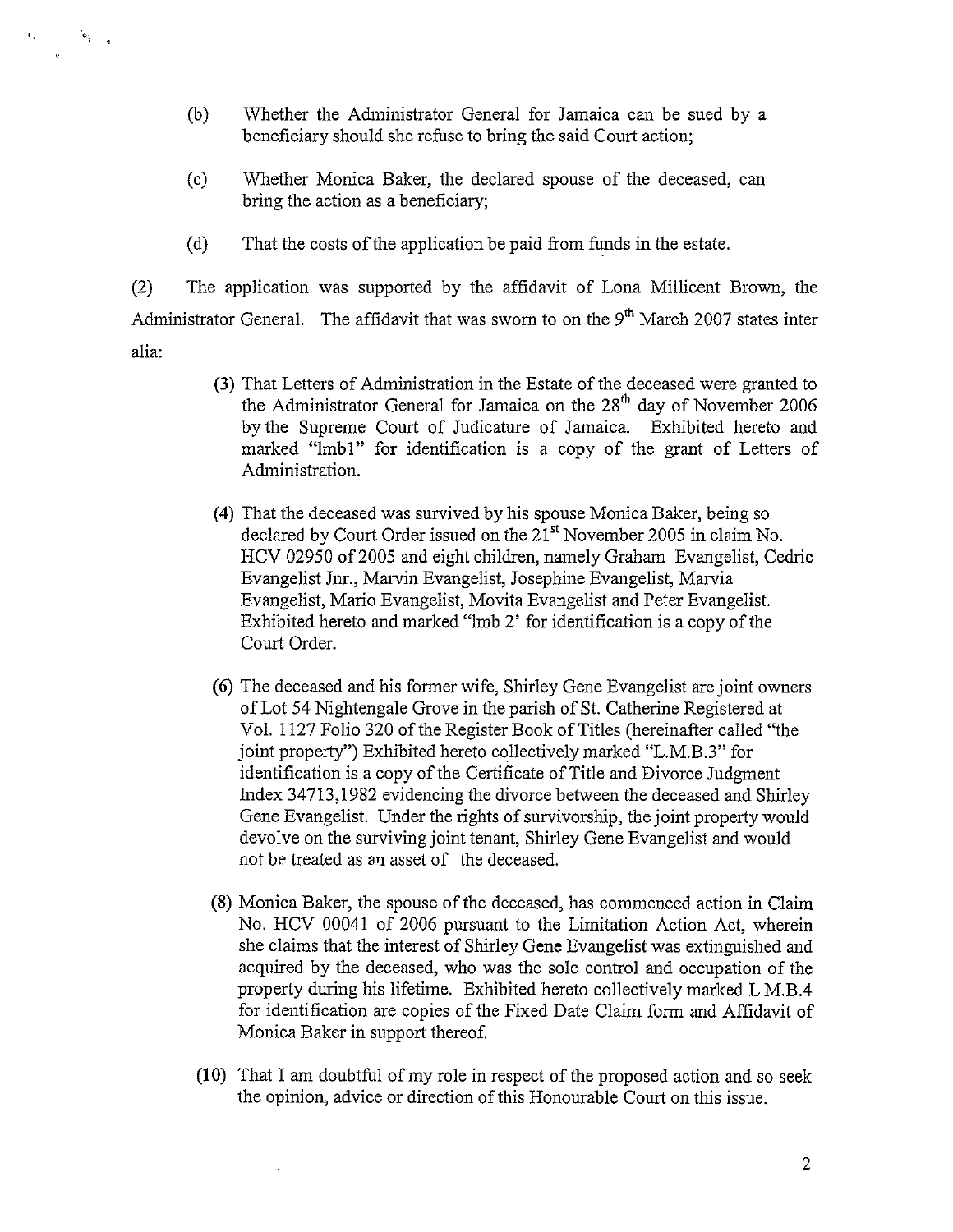(b) Whether the Administrator General for Jamaica can be sued by a beneficiary should she reflise to bring the said Court action;

 $\mathfrak{G}_{\mathbb{Q}}$  .

 $\mathbf{V}_{\mathrm{in}}$ 

- (c) Whether Monica Baker, the declared spouse of the deceased, can bring the action as a beneficiary;
- (d) That the costs of the application be paid from funds in the estate.

(2) The application was supported by the affidavit of Lona Millicent Brown, the Administrator General. The affidavit that was sworn to on the  $9<sup>th</sup>$  March 2007 states inter alia:

- (3) That Letters of Administration in the Estate of the deceased were granted to the Administrator General for Jamaica on the  $28<sup>th</sup>$  day of November 2006 by the Supreme Court of Judicature of Jamaica. Exhibited hereto and marked "lmb1" for identification is a copy of the grant of Letters of Administration.
- (4) That the deceased was survived by his spouse Monica Baker, being so declared by Court Order issued on the  $21<sup>st</sup>$  November 2005 in claim No. HCV 02950 of 2005 and eight children, namely Graham Evangelist, Cedric Evangelist Jnr., Marvin Evangelist, Josephine Evangelist, Marvia Evangelist, Mario Evangelist, Movita Evangelist and Peter Evangelist. Exhibited hereto and marked "lmb 2' for identification is a copy of the Court Order.
- (6) The deceased and his former wife, Shirley Gene Evangelist are joint owners of Lot 54 Nightengale Grove in the parish of St. Catherine Registered at Vol. 1127 Folio 320 of the Register Book of Titles (hereinafter called "the joint property") Exhibited hereto collectively marked "L.M.B.3" for identification is <sup>a</sup> copy of the Certificate of Title and Divorce Judgment Index 347 13,1982 evidencing the divorce between the deceased and Shirley Gene Evangelist. Under the rights of survivorship, the joint property would devolve on the surviving joint tenant, Shirley Gene Evangelist and would not be treated as an asset of the deceased,
- (8) Monica Baker, the spouse of the deceased, has commenced action in Claim No. HCV 00041 of 2006 pursuant to the Limitation Action Act, wherein she claims that the interest of Shirley Gene Evangelist was extinguished and acquired by the deceased, who was the sole control and occupation of the property during his lifetime. Exhibited hereto collectively marked L.M.B.4 for identification are copies of the Fixed Date Claim form and Affidavit of Monica Baker in support thereof.
- (10) That I am doubtful of my role in respect of the proposed action and so seek the opinion, advice or direction of this Honourable Court on this issue,

 $\ddot{\phantom{a}}$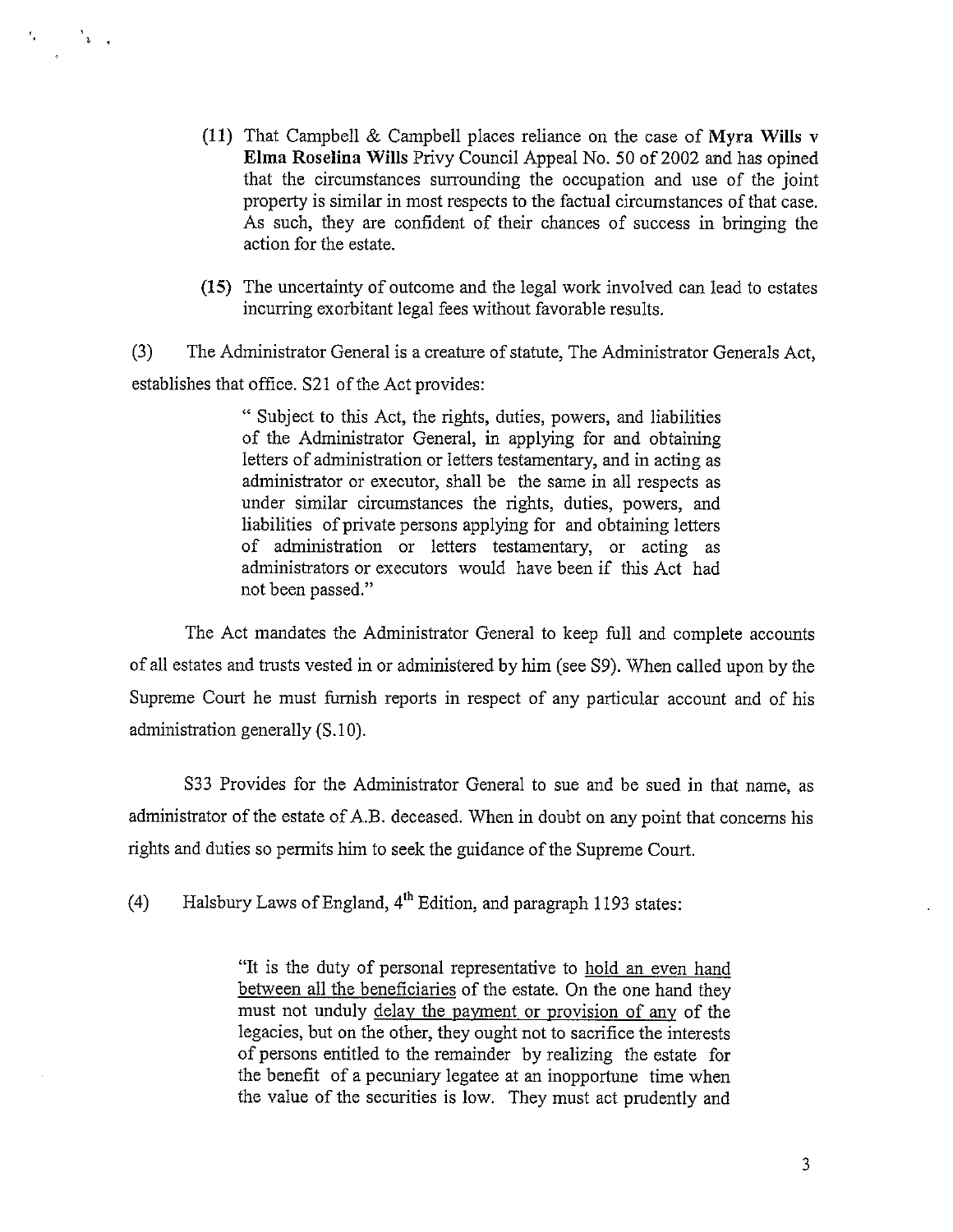(11) That Campbell & Campbell places reliance on the case of Myra Wills v Elma Roselina Wills Privy Council Appeal No. 50 of 2002 and has opined that the circumstances surrounding the occupation and use of the joint property is similar in most respects to the factual circumstances of that case. As such, they are confident of their chances of success in bringing the action for the estate.

 $\mathbb{E} \left[ \begin{array}{cc} \mathbf{1} & \mathbf{1} \\ \mathbf{1} & \mathbf{1} \\ \mathbf{1} & \mathbf{1} \end{array} \right]$ 

 $t_{\rm{g}}$ 

(15) The uncertainty of outcome and the legal work involved can lead to estates incurring exorbitant legal fees without favorable results.

(3) The Administrator General is <sup>a</sup> creature of statute, The Administrator Generals Act, establishes that office. S2l of the Act provides:

> Subject to this Act, the rights, duties, powers, and liabilities of the Administrator General, in applying for and obtaining letters of administration or letters testamentary, and in acting as administrator or executor, shall be the same in all respects as under similar circumstances the rights, duties, powers, and liabilities of private persons applying for and obtaining letters of administration or letters testamentary, or acting as administrators or executors would have been if this Act had not been passed."

The Act mandates the Administrator General to keep full and complete accounts of all estates and trusts vested in or administered by him (see 59). When called upon by the Supreme Court he must furnish reports in respect of any particular account and of his administration generally (S.lO).

S33 Provides for the Administrator General to sue and be sued in that name, as administrator of the estate of A.B. deceased. When in doubt on any point that concerns his rights and duties so permits him to seek the guidance of the Supreme Court.

(4) Halsbury Laws of England,  $4<sup>th</sup>$  Edition, and paragraph 1193 states:

"It is the duty of personal representative to hold an even hand between all the beneficiaries of the estate. On the one hand they must not unduly delay the payment or provision of any of the legacies, but on the other, they ought not to sacrifice the interests of persons entitled to the remainder by realizing the estate for the benefit of <sup>a</sup> pecuniary legatee at an inopportune time when the value of the securities is low. They must act prudently and